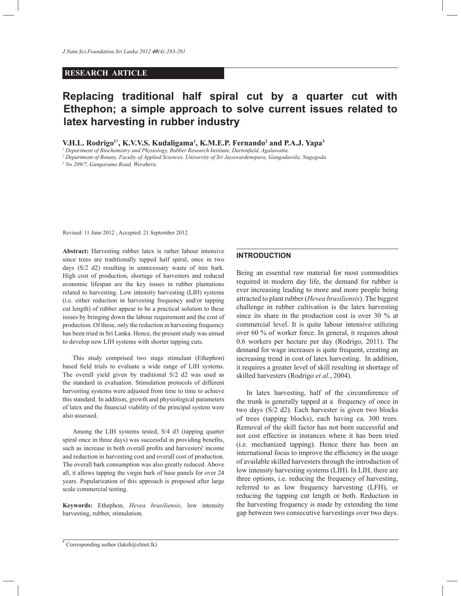# **RESEARCH ARTICLE**

# **Replacing traditional half spiral cut by a quarter cut with Ethephon; a simple approach to solve current issues related to latex harvesting in rubber industry**

**V.H.L. Rodrigo1\*, K.V.V.S. Kudaligama<sup>1</sup> , K.M.E.P. Fernando<sup>2</sup> and P.A.J. Yapa<sup>3</sup>**

*1 Department of Biochemistry and Physiology, Rubber Research Institute, Dartonfield, Agalawatta.*

*2 Department of Botany, Faculty of Applied Sciences, University of Sri Jayawardenepura, Gangodawila, Nugegoda.*

*3 No 209/7, Gangarama Road, Werahera.*

Revised: 11 June 2012 ; Accepted: 21 September 2012

**Abstract:** Harvesting rubber latex is rather labour intensive since trees are traditionally tapped half spiral, once in two days (S/2 d2) resulting in unnecessary waste of tree bark. High cost of production, shortage of harvesters and reduced economic lifespan are the key issues in rubber plantations related to harvesting. Low intensity harvesting (LIH) systems (i.e. either reduction in harvesting frequency and/or tapping cut length) of rubber appear to be a practical solution to these issues by bringing down the labour requirement and the cost of production. Of these, only the reduction in harvesting frequency has been tried in Sri Lanka. Hence, the present study was aimed to develop new LIH systems with shorter tapping cuts.

 This study comprised two stage stimulant (Ethephon) based field trials to evaluate a wide range of LIH systems. The overall yield given by traditional S/2 d2 was used as the standard in evaluation. Stimulation protocols of different harvesting systems were adjusted from time to time to achieve this standard. In addition, growth and physiological parameters of latex and the financial viability of the principal system were also assessed.

 Among the LIH systems tested, S/4 d3 (tapping quarter spiral once in three days) was successful in providing benefits, such as increase in both overall profits and harvesters' income and reduction in harvesting cost and overall cost of production. The overall bark consumption was also greatly reduced. Above all, it allows tapping the virgin bark of base panels for over 24 years. Popularization of this approach is proposed after large scale commercial testing.

**Keywords:** Ethephon, *Hevea brasiliensis*, low intensity harvesting, rubber, stimulation.

## **INTRODUCTION**

Being an essential raw material for most commodities required in modern day life, the demand for rubber is ever increasing leading to more and more people being attracted to plant rubber (*Hevea brasiliensis*). The biggest challenge in rubber cultivation is the latex harvesting since its share in the production cost is over 30 % at commercial level. It is quite labour intensive utilizing over 60 % of worker force. In general, it requires about 0.6 workers per hectare per day (Rodrigo, 2011). The demand for wage increases is quite frequent, creating an increasing trend in cost of latex harvesting. In addition, it requires a greater level of skill resulting in shortage of skilled harvesters (Rodrigo *et al.*, 2004).

 In latex harvesting, half of the circumference of the trunk is generally tapped at a frequency of once in two days (S/2 d2). Each harvester is given two blocks of trees (tapping blocks), each having ca. 300 trees. Removal of the skill factor has not been successful and not cost effective in instances where it has been tried (i.e. mechanized tapping). Hence there has been an international focus to improve the efficiency in the usage of available skilled harvesters through the introduction of low intensity harvesting systems (LIH). In LIH, there are three options, i.e. reducing the frequency of harvesting, referred to as low frequency harvesting (LFH), or reducing the tapping cut length or both. Reduction in the harvesting frequency is made by extending the time gap between two consecutive harvestings over two days.

<sup>\*</sup> Corresponding author (laksh@sltnet.lk)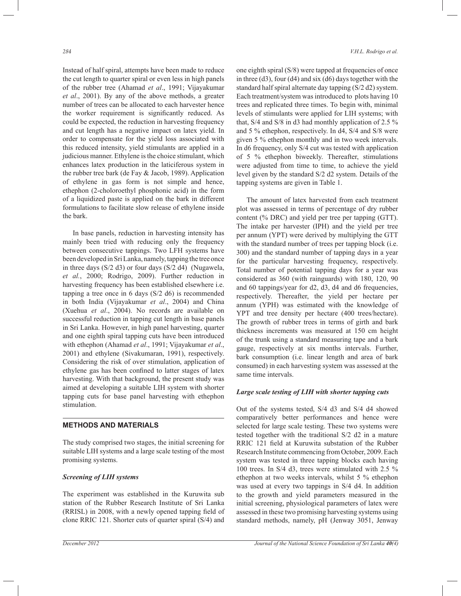Instead of half spiral, attempts have been made to reduce the cut length to quarter spiral or even less in high panels of the rubber tree (Ahamad *et al*., 1991; Vijayakumar *et al*., 2001). By any of the above methods, a greater number of trees can be allocated to each harvester hence the worker requirement is significantly reduced. As could be expected, the reduction in harvesting frequency and cut length has a negative impact on latex yield. In order to compensate for the yield loss associated with this reduced intensity, yield stimulants are applied in a judicious manner. Ethylene is the choice stimulant, which enhances latex production in the laticiferous system in the rubber tree bark (de Fay & Jacob, 1989). Application of ethylene in gas form is not simple and hence, ethephon (2-choloroethyl phosphonic acid) in the form of a liquidized paste is applied on the bark in different formulations to facilitate slow release of ethylene inside the bark.

 In base panels, reduction in harvesting intensity has mainly been tried with reducing only the frequency between consecutive tappings. Two LFH systems have been developed in Sri Lanka, namely, tapping the tree once in three days (S/2 d3) or four days (S/2 d4) (Nugawela, *et al.*, 2000; Rodrigo, 2009). Further reduction in harvesting frequency has been established elsewhere i.e. tapping a tree once in 6 days  $(S/2 \text{ d}6)$  is recommended in both India (Vijayakumar *et al*., 2004) and China (Xuehua *et al*., 2004). No records are available on successful reduction in tapping cut length in base panels in Sri Lanka. However, in high panel harvesting, quarter and one eighth spiral tapping cuts have been introduced with ethephon (Ahamad *et al*., 1991; Vijayakumar *et al*., 2001) and ethylene (Sivakumaran, 1991), respectively. Considering the risk of over stimulation, application of ethylene gas has been confined to latter stages of latex harvesting. With that background, the present study was aimed at developing a suitable LIH system with shorter tapping cuts for base panel harvesting with ethephon stimulation.

# **METHODS AND MATERIALS**

The study comprised two stages, the initial screening for suitable LIH systems and a large scale testing of the most promising systems.

# *Screening of LIH systems*

The experiment was established in the Kuruwita sub station of the Rubber Research Institute of Sri Lanka (RRISL) in 2008, with a newly opened tapping field of clone RRIC 121. Shorter cuts of quarter spiral (S/4) and

one eighth spiral (S/8) were tapped at frequencies of once in three (d3), four (d4) and six (d6) days together with the standard half spiral alternate day tapping (S/2 d2) system. Each treatment/system was introduced to plots having 10 trees and replicated three times. To begin with, minimal levels of stimulants were applied for LIH systems; with that, S/4 and S/8 in d3 had monthly application of 2.5 % and 5 % ethephon, respectively. In d4, S/4 and S/8 were given 5 % ethephon monthly and in two week intervals. In d6 frequency, only S/4 cut was tested with application of 5 % ethephon biweekly. Thereafter, stimulations were adjusted from time to time, to achieve the yield level given by the standard S/2 d2 system. Details of the tapping systems are given in Table 1.

 The amount of latex harvested from each treatment plot was assessed in terms of percentage of dry rubber content (% DRC) and yield per tree per tapping (GTT). The intake per harvester (IPH) and the yield per tree per annum (YPT) were derived by multiplying the GTT with the standard number of trees per tapping block (i.e. 300) and the standard number of tapping days in a year for the particular harvesting frequency, respectively. Total number of potential tapping days for a year was considered as 360 (with rainguards) with 180, 120, 90 and 60 tappings/year for d2, d3, d4 and d6 frequencies, respectively. Thereafter, the yield per hectare per annum (YPH) was estimated with the knowledge of YPT and tree density per hectare (400 trees/hectare). The growth of rubber trees in terms of girth and bark thickness increments was measured at 150 cm height of the trunk using a standard measuring tape and a bark gauge, respectively at six months intervals. Further, bark consumption (i.e. linear length and area of bark consumed) in each harvesting system was assessed at the same time intervals.

## *Large scale testing of LIH with shorter tapping cuts*

Out of the systems tested, S/4 d3 and S/4 d4 showed comparatively better performances and hence were selected for large scale testing. These two systems were tested together with the traditional S/2 d2 in a mature RRIC 121 field at Kuruwita substation of the Rubber Research Institute commencing from October, 2009. Each system was tested in three tapping blocks each having 100 trees. In S/4 d3, trees were stimulated with 2.5 % ethephon at two weeks intervals, whilst 5 % ethephon was used at every two tappings in S/4 d4. In addition to the growth and yield parameters measured in the initial screening, physiological parameters of latex were assessed in these two promising harvesting systems using standard methods, namely, pH (Jenway 3051, Jenway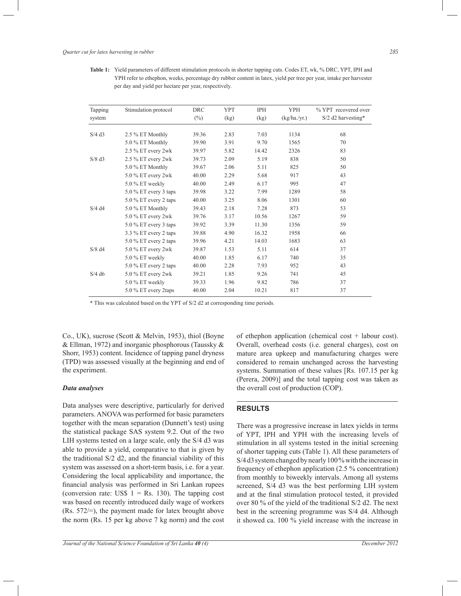**Table 1:** Yield parameters of different stimulation protocols in shorter tapping cuts. Codes ET, wk, % DRC, YPT, IPH and YPH refer to ethephon, weeks, percentage dry rubber content in latex, yield per tree per year, intake per harvester per day and yield per hectare per year, respectively.

| Tapping              | Stimulation protocol    | <b>DRC</b> | <b>YPT</b> | <b>IPH</b> | <b>YPH</b>   | % YPT recovered over |
|----------------------|-------------------------|------------|------------|------------|--------------|----------------------|
| system               |                         | $(\%)$     | (kg)       | (kg)       | (kg/ha./yr.) | $S/2$ d2 harvesting* |
| $S/4$ d <sub>3</sub> | 2.5 % ET Monthly        | 39.36      | 2.83       | 7.03       | 1134         | 68                   |
|                      | 5.0 % ET Monthly        | 39.90      | 3.91       | 9.70       | 1565         | 70                   |
|                      | 2.5 % ET every 2wk      | 39.97      | 5.82       | 14.42      | 2326         | 83                   |
| $S/8$ d <sub>3</sub> | 2.5 % ET every 2wk      | 39.73      | 2.09       | 5.19       | 838          | 50                   |
|                      | 5.0 % ET Monthly        | 39.67      | 2.06       | 5.11       | 825          | 50                   |
|                      | 5.0 % ET every 2wk      | 40.00      | 2.29       | 5.68       | 917          | 43                   |
|                      | 5.0 % ET weekly         | 40.00      | 2.49       | 6.17       | 995          | 47                   |
|                      | $5.0\%$ ET every 3 taps | 39.98      | 3.22       | 7.99       | 1289         | 58                   |
|                      | 5.0 % ET every 2 taps   | 40.00      | 3.25       | 8.06       | 1301         | 60                   |
| $S/4$ d4             | 5.0 % ET Monthly        | 39.43      | 2.18       | 7.28       | 873          | 53                   |
|                      | 5.0 % ET every 2wk      | 39.76      | 3.17       | 10.56      | 1267         | 59                   |
|                      | $5.0\%$ ET every 3 taps | 39.92      | 3.39       | 11.30      | 1356         | 59                   |
|                      | 3.3 % ET every 2 taps   | 39.88      | 4.90       | 16.32      | 1958         | 66                   |
|                      | $5.0\%$ ET every 2 taps | 39.96      | 4.21       | 14.03      | 1683         | 63                   |
| $S/8$ d <sub>4</sub> | 5.0 % ET every 2wk      | 39.87      | 1.53       | 5.11       | 614          | 37                   |
|                      | 5.0 % ET weekly         | 40.00      | 1.85       | 6.17       | 740          | 35                   |
|                      | 5.0 % ET every 2 taps   | 40.00      | 2.28       | 7.93       | 952          | 43                   |
| $S/4$ d <sub>6</sub> | 5.0 % ET every 2wk      | 39.21      | 1.85       | 9.26       | 741          | 45                   |
|                      | 5.0 % ET weekly         | 39.33      | 1.96       | 9.82       | 786          | 37                   |
|                      | 5.0 % ET every 2taps    | 40.00      | 2.04       | 10.21      | 817          | 37                   |

\* This was calculated based on the YPT of S/2 d2 at corresponding time periods.

Co., UK), sucrose (Scott & Melvin, 1953), thiol (Boyne & Ellman, 1972) and inorganic phosphorous (Taussky & Shorr, 1953) content. Incidence of tapping panel dryness (TPD) was assessed visually at the beginning and end of the experiment.

#### *Data analyses*

Data analyses were descriptive, particularly for derived parameters. ANOVA was performed for basic parameters together with the mean separation (Dunnett's test) using the statistical package SAS system 9.2. Out of the two LIH systems tested on a large scale, only the S/4 d3 was able to provide a yield, comparative to that is given by the traditional S/2 d2, and the financial viability of this system was assessed on a short-term basis, i.e. for a year. Considering the local applicability and importance, the financial analysis was performed in Sri Lankan rupees (conversion rate: US\$  $1 = \text{Rs}$ . 130). The tapping cost was based on recently introduced daily wage of workers (Rs. 572/=), the payment made for latex brought above the norm (Rs. 15 per kg above 7 kg norm) and the cost of ethephon application (chemical cost + labour cost). Overall, overhead costs (i.e. general charges), cost on mature area upkeep and manufacturing charges were considered to remain unchanged across the harvesting systems. Summation of these values [Rs. 107.15 per kg (Perera, 2009)] and the total tapping cost was taken as the overall cost of production (COP).

## **RESULTS**

There was a progressive increase in latex yields in terms of YPT, IPH and YPH with the increasing levels of stimulation in all systems tested in the initial screening of shorter tapping cuts (Table 1). All these parameters of S/4 d3 system changed by nearly 100 % with the increase in frequency of ethephon application (2.5 % concentration) from monthly to biweekly intervals. Among all systems screened, S/4 d3 was the best performing LIH system and at the final stimulation protocol tested, it provided over 80 % of the yield of the traditional S/2 d2. The next best in the screening programme was S/4 d4. Although it showed ca. 100 % yield increase with the increase in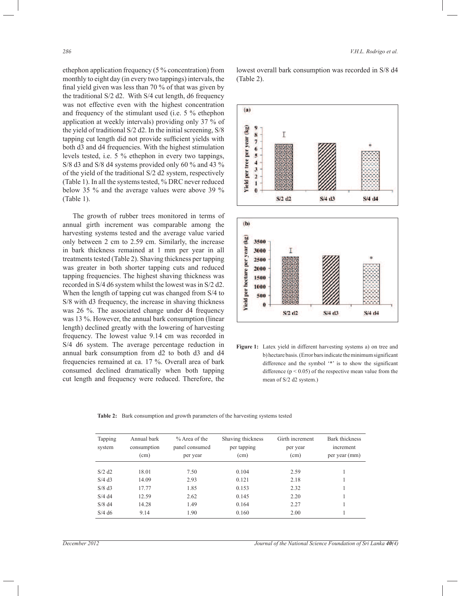ethephon application frequency (5 % concentration) from monthly to eight day (in every two tappings) intervals, the final yield given was less than 70 % of that was given by the traditional S/2 d2. With S/4 cut length, d6 frequency was not effective even with the highest concentration and frequency of the stimulant used (i.e. 5 % ethephon application at weekly intervals) providing only 37 % of the yield of traditional S/2 d2. In the initial screening, S/8 tapping cut length did not provide sufficient yields with both d3 and d4 frequencies. With the highest stimulation levels tested, i.e. 5 % ethephon in every two tappings, S/8 d3 and S/8 d4 systems provided only 60 % and 43 % of the yield of the traditional S/2 d2 system, respectively (Table 1). In all the systems tested, % DRC never reduced below 35 % and the average values were above 39 % (Table 1).

 The growth of rubber trees monitored in terms of annual girth increment was comparable among the harvesting systems tested and the average value varied only between 2 cm to 2.59 cm. Similarly, the increase in bark thickness remained at 1 mm per year in all treatments tested (Table 2). Shaving thickness per tapping was greater in both shorter tapping cuts and reduced tapping frequencies. The highest shaving thickness was recorded in S/4 d6 system whilst the lowest was in S/2 d2. When the length of tapping cut was changed from S/4 to S/8 with d3 frequency, the increase in shaving thickness was 26 %. The associated change under d4 frequency was 13 %. However, the annual bark consumption (linear length) declined greatly with the lowering of harvesting frequency. The lowest value 9.14 cm was recorded in S/4 d6 system. The average percentage reduction in annual bark consumption from d2 to both d3 and d4 frequencies remained at ca. 17 %. Overall area of bark consumed declined dramatically when both tapping cut length and frequency were reduced. Therefore, the

lowest overall bark consumption was recorded in S/8 d4 (Table 2).



**Figure 1:** Latex yield in different harvesting systems a) on tree and b) hectare basis. (Error bars indicate the minimum significant difference and the symbol '\*' is to show the significant difference  $(p < 0.05)$  of the respective mean value from the mean of S/2 d2 system.)

**Table 2:** Bark consumption and growth parameters of the harvesting systems tested

| Tapping<br>system    | Annual bark<br>consumption<br>(cm) | $%$ Area of the<br>panel consumed<br>per year | Shaving thickness<br>per tapping<br>(cm) | Girth increment<br>per year<br>(cm) | Bark thickness<br>increment<br>per year (mm) |
|----------------------|------------------------------------|-----------------------------------------------|------------------------------------------|-------------------------------------|----------------------------------------------|
| $S/2$ d <sub>2</sub> | 18.01                              | 7.50                                          | 0.104                                    | 2.59                                |                                              |
| $S/4$ d <sub>3</sub> | 14.09                              | 2.93                                          | 0.121                                    | 2.18                                |                                              |
| $S/8$ d <sub>3</sub> | 17.77                              | 1.85                                          | 0.153                                    | 2.32                                |                                              |
| $S/4$ d4             | 12.59                              | 2.62                                          | 0.145                                    | 2.20                                |                                              |
| $S/8$ d <sub>4</sub> | 14.28                              | 1.49                                          | 0.164                                    | 2.27                                |                                              |
| $S/4$ d <sub>6</sub> | 9.14                               | 1.90                                          | 0.160                                    | 2.00                                |                                              |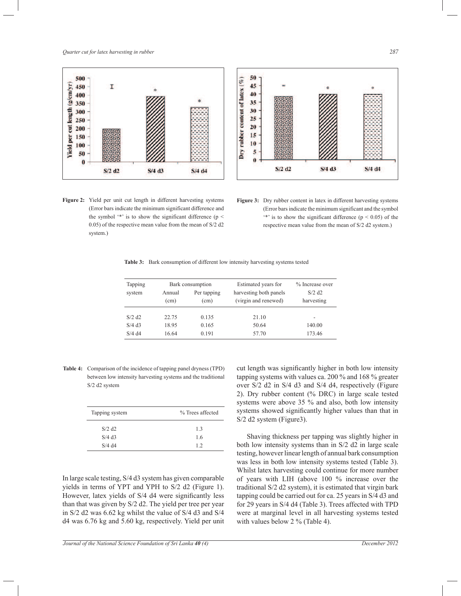*Quarter cut for latex harvesting in rubber 287*





**Figure 2:** Yield per unit cut length in different harvesting systems (Error bars indicate the minimum significant difference and the symbol  $'$  is to show the significant difference (p  $\leq$ 0.05) of the respective mean value from the mean of S/2 d2 system.)

Figure 3: Dry rubber content in latex in different harvesting systems (Error bars indicate the minimum significant and the symbol  $\rightarrow$  '\*' is to show the significant difference ( $p < 0.05$ ) of the respective mean value from the mean of S/2 d2 system.)

**Table 3:** Bark consumption of different low intensity harvesting systems tested

| Tapping              | Bark consumption |                     | Estimated years for                            | % Increase over                    |
|----------------------|------------------|---------------------|------------------------------------------------|------------------------------------|
| system               | Annual<br>(cm)   | Per tapping<br>(cm) | harvesting both panels<br>(virgin and renewed) | $S/2$ d <sub>2</sub><br>harvesting |
| $S/2$ d <sub>2</sub> | 22.75            | 0.135               | 21.10                                          | $\overline{\phantom{a}}$           |
| $S/4$ d <sub>3</sub> | 18.95            | 0.165               | 50.64                                          | 140.00                             |
| $S/4$ d4             | 16.64            | 0.191               | 57.70                                          | 173.46                             |

**Table 4:** Comparison of the incidence of tapping panel dryness (TPD) between low intensity harvesting systems and the traditional S/2 d2 system

| Tapping system       | % Trees affected |  |  |
|----------------------|------------------|--|--|
| $S/2$ d <sub>2</sub> | 13               |  |  |
| $S/4$ d <sub>3</sub> | 1.6              |  |  |
| $S/4$ d4             | 12               |  |  |
|                      |                  |  |  |

In large scale testing, S/4 d3 system has given comparable yields in terms of YPT and YPH to S/2 d2 (Figure 1). However, latex yields of S/4 d4 were significantly less than that was given by S/2 d2. The yield per tree per year in S/2 d2 was 6.62 kg whilst the value of S/4 d3 and S/4 d4 was 6.76 kg and 5.60 kg, respectively. Yield per unit cut length was significantly higher in both low intensity tapping systems with values ca. 200 % and 168 % greater over S/2 d2 in S/4 d3 and S/4 d4, respectively (Figure 2). Dry rubber content (% DRC) in large scale tested systems were above 35 % and also, both low intensity systems showed significantly higher values than that in S/2 d2 system (Figure3).

 Shaving thickness per tapping was slightly higher in both low intensity systems than in S/2 d2 in large scale testing, however linear length of annual bark consumption was less in both low intensity systems tested (Table 3). Whilst latex harvesting could continue for more number of years with LIH (above 100 % increase over the traditional S/2 d2 system), it is estimated that virgin bark tapping could be carried out for ca. 25 years in S/4 d3 and for 29 years in S/4 d4 (Table 3). Trees affected with TPD were at marginal level in all harvesting systems tested with values below 2 % (Table 4).

*Journal of the National Science Foundation of Sri Lanka 40 (4) December 2012*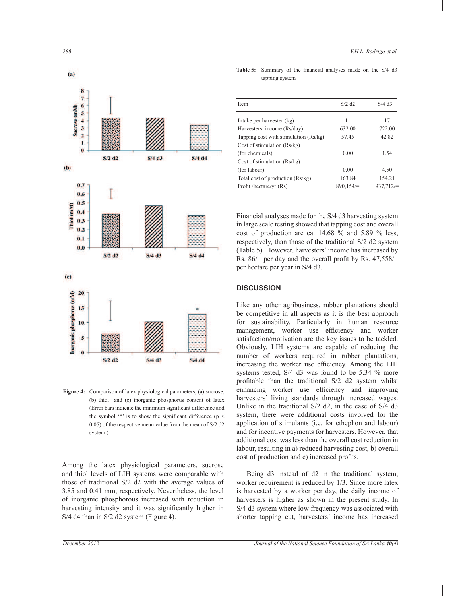

**Figure 4:** Comparison of latex physiological parameters, (a) sucrose, (b) thiol and (c) inorganic phosphorus content of latex (Error bars indicate the minimum significant difference and the symbol  $4$  is to show the significant difference (p < 0.05) of the respective mean value from the mean of S/2 d2 system.)

Among the latex physiological parameters, sucrose and thiol levels of LIH systems were comparable with those of traditional S/2 d2 with the average values of 3.85 and 0.41 mm, respectively. Nevertheless, the level of inorganic phosphorous increased with reduction in harvesting intensity and it was significantly higher in S/4 d4 than in S/2 d2 system (Figure 4).

**Table 5:** Summary of the financial analyses made on the S/4 d3 tapping system

| <b>Item</b>                           | $S/2$ d <sub>2</sub> | $S/4$ d <sub>3</sub> |
|---------------------------------------|----------------------|----------------------|
|                                       |                      |                      |
| Intake per harvester (kg)             | 11                   | 17                   |
| Harvesters' income (Rs/day)           | 632.00               | 722.00               |
| Tapping cost with stimulation (Rs/kg) | 57.45                | 42.82                |
| Cost of stimulation $(Rs/kg)$         |                      |                      |
| (for chemicals)                       | 0.00                 | 1.54                 |
| Cost of stimulation $(Rs/kg)$         |                      |                      |
| (for labour)                          | 0.00                 | 4.50                 |
| Total cost of production (Rs/kg)      | 163.84               | 154.21               |
| Profit /hectare/yr (Rs)               | 890,154/             | 937,712/             |

Financial analyses made for the S/4 d3 harvesting system in large scale testing showed that tapping cost and overall cost of production are ca. 14.68 % and 5.89 % less, respectively, than those of the traditional S/2 d2 system (Table 5). However, harvesters' income has increased by Rs. 86/= per day and the overall profit by Rs. 47,558/= per hectare per year in S/4 d3.

## **DISCUSSION**

Like any other agribusiness, rubber plantations should be competitive in all aspects as it is the best approach for sustainability. Particularly in human resource management, worker use efficiency and worker satisfaction/motivation are the key issues to be tackled. Obviously, LIH systems are capable of reducing the number of workers required in rubber plantations, increasing the worker use efficiency. Among the LIH systems tested, S/4 d3 was found to be 5.34 % more profitable than the traditional S/2 d2 system whilst enhancing worker use efficiency and improving harvesters' living standards through increased wages. Unlike in the traditional S/2 d2, in the case of S/4 d3 system, there were additional costs involved for the application of stimulants (i.e. for ethephon and labour) and for incentive payments for harvesters. However, that additional cost was less than the overall cost reduction in labour, resulting in a) reduced harvesting cost, b) overall cost of production and c) increased profits.

 Being d3 instead of d2 in the traditional system, worker requirement is reduced by 1/3. Since more latex is harvested by a worker per day, the daily income of harvesters is higher as shown in the present study. In S/4 d3 system where low frequency was associated with shorter tapping cut, harvesters' income has increased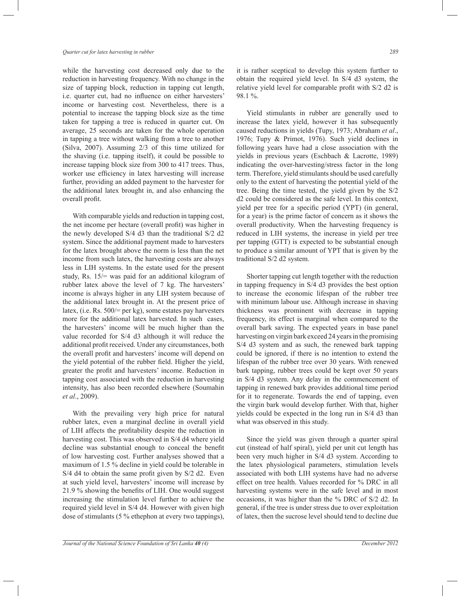#### *Quarter cut for latex harvesting in rubber 289*

while the harvesting cost decreased only due to the reduction in harvesting frequency. With no change in the size of tapping block, reduction in tapping cut length, i.e. quarter cut, had no influence on either harvesters' income or harvesting cost. Nevertheless, there is a potential to increase the tapping block size as the time taken for tapping a tree is reduced in quarter cut. On average, 25 seconds are taken for the whole operation in tapping a tree without walking from a tree to another (Silva, 2007). Assuming 2/3 of this time utilized for the shaving (i.e. tapping itself), it could be possible to increase tapping block size from 300 to 417 trees. Thus, worker use efficiency in latex harvesting will increase further, providing an added payment to the harvester for the additional latex brought in, and also enhancing the overall profit.

 With comparable yields and reduction in tapping cost, the net income per hectare (overall profit) was higher in the newly developed S/4 d3 than the traditional S/2 d2 system. Since the additional payment made to harvesters for the latex brought above the norm is less than the net income from such latex, the harvesting costs are always less in LIH systems. In the estate used for the present study, Rs. 15/= was paid for an additional kilogram of rubber latex above the level of 7 kg. The harvesters' income is always higher in any LIH system because of the additional latex brought in. At the present price of latex, (i.e. Rs. 500/= per kg), some estates pay harvesters more for the additional latex harvested. In such cases, the harvesters' income will be much higher than the value recorded for S/4 d3 although it will reduce the additional profit received. Under any circumstances, both the overall profit and harvesters' income will depend on the yield potential of the rubber field. Higher the yield, greater the profit and harvesters' income. Reduction in tapping cost associated with the reduction in harvesting intensity, has also been recorded elsewhere (Soumahin *et al*., 2009).

 With the prevailing very high price for natural rubber latex, even a marginal decline in overall yield of LIH affects the profitability despite the reduction in harvesting cost. This was observed in S/4 d4 where yield decline was substantial enough to conceal the benefit of low harvesting cost. Further analyses showed that a maximum of 1.5 % decline in yield could be tolerable in S/4 d4 to obtain the same profit given by S/2 d2. Even at such yield level, harvesters' income will increase by 21.9 % showing the benefits of LIH. One would suggest increasing the stimulation level further to achieve the required yield level in S/4 d4. However with given high dose of stimulants (5 % ethephon at every two tappings),

it is rather sceptical to develop this system further to obtain the required yield level. In S/4 d3 system, the relative yield level for comparable profit with S/2 d2 is 98.1 %.

 Yield stimulants in rubber are generally used to increase the latex yield, however it has subsequently caused reductions in yields (Tupy, 1973; Abraham *et al*., 1976; Tupy & Primot, 1976). Such yield declines in following years have had a close association with the yields in previous years (Eschbach & Lacrotte, 1989) indicating the over-harvesting/stress factor in the long term. Therefore, yield stimulants should be used carefully only to the extent of harvesting the potential yield of the tree. Being the time tested, the yield given by the S/2 d2 could be considered as the safe level. In this context, yield per tree for a specific period (YPT) (in general, for a year) is the prime factor of concern as it shows the overall productivity. When the harvesting frequency is reduced in LIH systems, the increase in yield per tree per tapping (GTT) is expected to be substantial enough to produce a similar amount of YPT that is given by the traditional S/2 d2 system.

 Shorter tapping cut length together with the reduction in tapping frequency in S/4 d3 provides the best option to increase the economic lifespan of the rubber tree with minimum labour use. Although increase in shaving thickness was prominent with decrease in tapping frequency, its effect is marginal when compared to the overall bark saving. The expected years in base panel harvesting on virgin bark exceed 24 years in the promising S/4 d3 system and as such, the renewed bark tapping could be ignored, if there is no intention to extend the lifespan of the rubber tree over 30 years. With renewed bark tapping, rubber trees could be kept over 50 years in S/4 d3 system. Any delay in the commencement of tapping in renewed bark provides additional time period for it to regenerate. Towards the end of tapping, even the virgin bark would develop further. With that, higher yields could be expected in the long run in S/4 d3 than what was observed in this study.

 Since the yield was given through a quarter spiral cut (instead of half spiral), yield per unit cut length has been very much higher in S/4 d3 system. According to the latex physiological parameters, stimulation levels associated with both LIH systems have had no adverse effect on tree health. Values recorded for % DRC in all harvesting systems were in the safe level and in most occasions, it was higher than the % DRC of S/2 d2. In general, if the tree is under stress due to over exploitation of latex, then the sucrose level should tend to decline due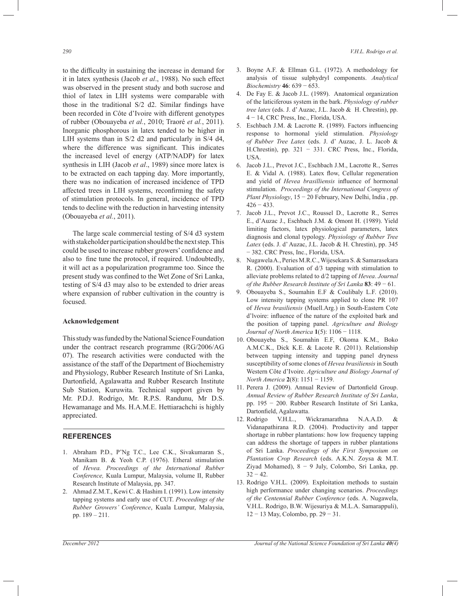to the difficulty in sustaining the increase in demand for it in latex synthesis (Jacob *et al*., 1988). No such effect was observed in the present study and both sucrose and thiol of latex in LIH systems were comparable with those in the traditional S/2 d2. Similar findings have been recorded in Côte d'Ivoire with different genotypes of rubber (Obouayeba *et al.*, 2010; Traoré *et al.*, 2011). Inorganic phosphorous in latex tended to be higher in LIH systems than in S/2 d2 and particularly in S/4 d4, where the difference was significant. This indicates the increased level of energy (ATP/NADP) for latex synthesis in LIH (Jacob *et al*., 1989) since more latex is to be extracted on each tapping day. More importantly, there was no indication of increased incidence of TPD affected trees in LIH systems, reconfirming the safety of stimulation protocols. In general, incidence of TPD tends to decline with the reduction in harvesting intensity (Obouayeba *et al.*, 2011).

 The large scale commercial testing of S/4 d3 system with stakeholder participation should be the next step. This could be used to increase rubber growers' confidence and also to fine tune the protocol, if required. Undoubtedly, it will act as a popularization programme too. Since the present study was confined to the Wet Zone of Sri Lanka, testing of S/4 d3 may also to be extended to drier areas where expansion of rubber cultivation in the country is focused.

## **Acknowledgement**

This study was funded by the National Science Foundation under the contract research programme (RG/2006/AG 07). The research activities were conducted with the assistance of the staff of the Department of Biochemistry and Physiology, Rubber Research Institute of Sri Lanka, Dartonfield, Agalawatta and Rubber Research Institute Sub Station, Kuruwita. Technical support given by Mr. P.D.J. Rodrigo, Mr. R.P.S. Randunu, Mr D.S. Hewamanage and Ms. H.A.M.E. Hettiarachchi is highly appreciated.

# **REFERENCES**

- 1. Abraham P.D., P'Ng T.C., Lee C.K., Sivakumaran S., Manikam B. & Yeoh C.P. (1976). Etheral stimulation of *Hevea. Proceedings of the International Rubber Conference,* Kuala Lumpur, Malaysia, volume II, Rubber Research Institute of Malaysia, pp. 347.
- 2. Ahmad Z.M.T., Kewi C. & Hashim I. (1991). Low intensity tapping systems and early use of CUT. *Proceedings of the Rubber Growers' Conference*, Kuala Lumpur, Malaysia, pp. 189 – 211.
- 3. Boyne A.F. & Ellman G.L. (1972). A methodology for analysis of tissue sulphydryl components. *Analytical Biochemistry* **46**: 639 − 653.
- 4. De Fay E. & Jacob J.L. (1989). Anatomical organization of the laticiferous system in the bark. *Physiology of rubber tree latex* (eds. J. d' Auzac, J.L. Jacob & H. Chrestin), pp. 4 − 14, CRC Press, Inc., Florida, USA.
- 5. Eschbach J.M. & Lacrotte R. (1989). Factors influencing response to hormonal yield stimulation. *Physiology of Rubber Tree Latex* (eds. J. d' Auzac, J. L. Jacob & H.Chrestin), pp. 321 − 331. CRC Press, Inc., Florida, USA.
- 6. Jacob J.L., Prevot J.C., Eschbach J.M., Lacrotte R., Serres E. & Vidal A. (1988). Latex flow, Cellular regeneration and yield of *Hevea brasilliensis* influence of hormonal stimulation. *Proceedings of the International Congress of Plant Physiology*, 15 − 20 February, New Delhi, India , pp.  $426 - 433$ .
- 7. Jacob J.L., Prevot J.C., Roussel D., Lacrotte R., Serres E., d'Auzac J., Eschbach J.M. & Omont H. (1989). Yield limiting factors, latex physiological parameters, latex diagnosis and clonal typology. *Physiology of Rubber Tree Latex* (eds. J. d' Auzac, J.L. Jacob & H. Chrestin), pp. 345 − 382. CRC Press, Inc., Florida, USA.
- 8. Nugawela A., Peries M.R.C., Wijesekara S. & Samarasekara R. (2000). Evaluation of d/3 tapping with stimulation to alleviate problems related to d/2 tapping of *Hevea*. *Journal of the Rubber Research Institute of Sri Lanka* **83**: 49 − 61.
- 9. Obouayeba S., Soumahin E.F & Coulibaly L.F. (2010). Low intensity tapping systems applied to clone PR 107 of *Hevea brasiliensis* (Muell.Arg.) in South-Eastern Cote d'lvoire: influence of the nature of the exploited bark and the position of tapping panel. *Agriculture and Biology Journal of North America* **1**(5): 1106 − 1118.
- 10. Obouayeba S., Soumahin E.F, Okoma K.M., Boko A.M.C.K., Dick K.E. & Lacote R. (2011). Relationship between tapping intensity and tapping panel dryness susceptibility of some clones of *Hevea brasiliensis* in South Western Côte d'Ivoire. *Agriculture and Biology Journal of North America* **2**(8): 1151 − 1159.
- 11. Perera J. (2009). Annual Review of Dartonfield Group. *Annual Review of Rubber Research Institute of Sri Lanka*, pp. 195 − 200. Rubber Research Institute of Sri Lanka, Dartonfield, Agalawatta.
- 12. Rodrigo V.H.L., Wickramarathna N.A.A.D. & Vidanapathirana R.D. (2004). Productivity and tapper shortage in rubber plantations: how low frequency tapping can address the shortage of tappers in rubber plantations of Sri Lanka. *Proceedings of the First Symposium on Plantation Crop Research* (eds. A.K.N. Zoysa & M.T. Ziyad Mohamed), 8 − 9 July, Colombo, Sri Lanka, pp.  $32 - 42$ .
- 13. Rodrigo V.H.L. (2009). Exploitation methods to sustain high performance under changing scenarios. *Proceedings of the Centennial Rubber Conference* (eds. A. Nugawela, V.H.L. Rodrigo, B.W. Wijesuriya & M.L.A. Samarappuli), 12 − 13 May, Colombo, pp. 29 − 31.